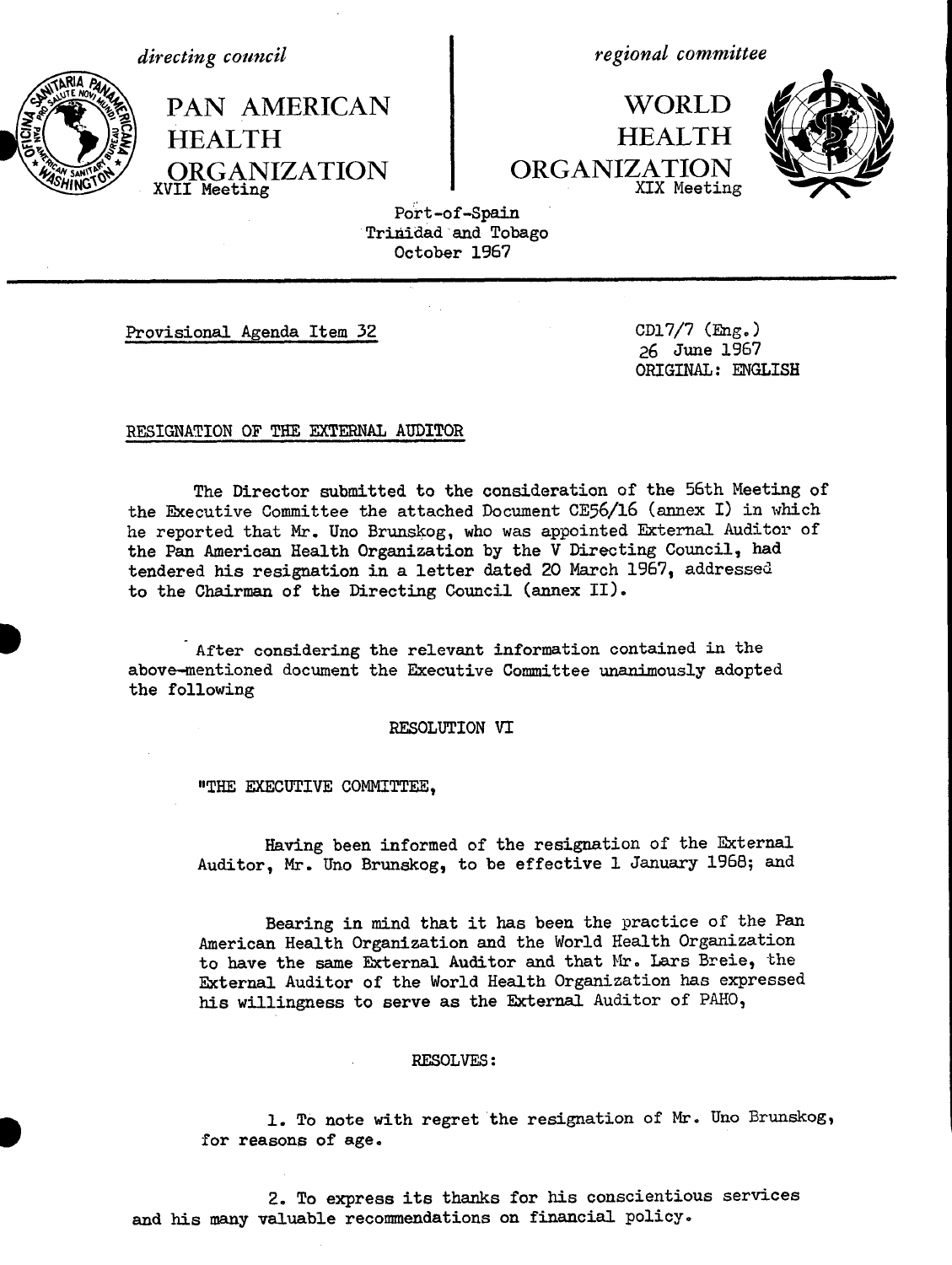*directing council*

**HEALTH**

XVII **Meeting**

*regional committee*

**WORLD HEALTH** ORGANIZATION XIX Meeting



Port-of-Spain Trinidad and Tobago October 1967

I

Provisional Agenda Item 32 CD17/7 (Eng.)

PAN AMERICAN

ORGANIZATION

26 June 1967 ORIGINAL: ENGLISH

## RESIGNATION OF THE EXTERNAL AUDITOR

The Director submitted to the consideration of the 56th Meeting of the Executive Committee the attached Document CE56/16 (annex I) in which he reported that Mr. Uno Brunskog, who was appointed External Auditor of the Pan American Health Organization by the V Directing Council, had tendered his resignation in a letter dated 20 March 1967, addressed to the Chairman of the Directing Council (annex II).

After considering the relevant information contained in the above-mentioned document the Executive Committee unanimously adopted the following

RESOLUTION VI

"THE EXECUTIVE COMMITTEE,

Having been informed of the resignation of the External Auditor, Mr. Uno Brunskog, to be effective 1 January 1968; and

Bearing in mind that it has been the practice of the Pan American Health Organization and the World Health Organization to have the same External Auditor and that Mr. Lars Breie, the External Auditor of the World Health Organization has expressed his willingness to serve as the External Auditor of PAHO,

## RESOLVES:

1. To note with regret the resignation of Mr. Uno Brunskog, for reasons of age.

2. To express its thanks for his conscientious services and his many valuable recommendations on financial policy.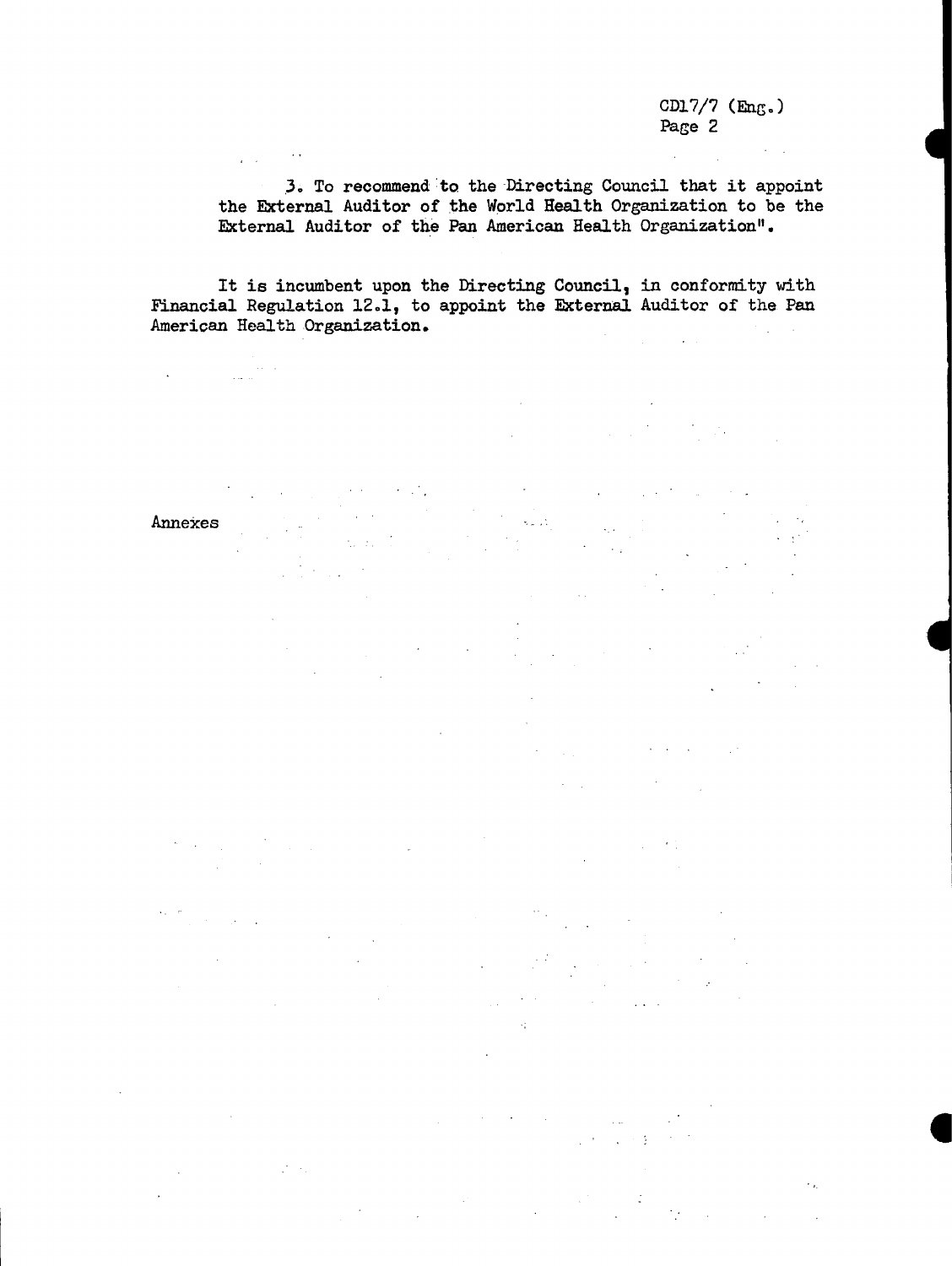$\sim 10^{-10}$ 

 $\chi^2$  ,  $\chi^2$ 

 $\mathcal{A}=\{x_1,\ldots,x_n\}$  , where  $\mathcal{A}=\{x_1,\ldots,x_n\}$  ,  $\mathcal{A}=\{x_1,\ldots,x_n\}$ 

 $\label{eq:2.1} \frac{1}{\sqrt{2\pi}}\int_{\mathbb{R}^3}\frac{1}{\sqrt{2\pi}}\left(\frac{1}{\sqrt{2\pi}}\int_{\mathbb{R}^3}\frac{1}{\sqrt{2\pi}}\int_{\mathbb{R}^3}\frac{1}{\sqrt{2\pi}}\frac{1}{\sqrt{2\pi}}\frac{1}{\sqrt{2\pi}}\frac{1}{\sqrt{2\pi}}\frac{1}{\sqrt{2\pi}}\frac{1}{\sqrt{2\pi}}\frac{1}{\sqrt{2\pi}}\frac{1}{\sqrt{2\pi}}\frac{1}{\sqrt{2\pi}}\frac{1}{\sqrt{2\pi}}\frac{1}{\sqrt{$ 

 $\frac{1}{2}$  ,  $\frac{1}{2}$  ,  $\frac{1}{2}$ 

 $\mathcal{L}^{\text{max}}_{\text{max}}$ 

 $\sim 10^{11}$  m  $^{-1}$ 

 $\sim 10^{11}$  km

**t**

**E**

 $\mathcal{L}_{\text{in}}$ 

 $\sim 10$ 

3. To recommend to the Directing Council that it appoint the External Auditor of the World Health Organization to be the External Auditor of the Pan American Health Organization".

 $\sim 10^{-11}$ 

 $\zeta_{\rm max}$ 

in<br>Album

 $\bar{z}$ 

 $\omega = \sqrt{\omega}$ 

 $\mathcal{L}^{\text{max}}$ 

 $\label{eq:2.1} \begin{split} \mathcal{L}_{\text{max}}(\mathcal{L}_{\text{max}}(\mathbf{X}, \mathbf{X})) = \mathcal{L}_{\text{max}}(\mathbf{X}, \mathbf{X}) \\ \mathcal{L}_{\text{max}}(\mathbf{X}, \mathbf{X}) = \mathcal{L}_{\text{max}}(\mathbf{X}, \mathbf{X}) \\ \mathcal{L}_{\text{max}}(\mathbf{X}, \mathbf{X}) = \mathcal{L}_{\text{max}}(\mathbf{X}, \mathbf{X}) \\ \mathcal{L}_{\text{max}}(\mathbf{X}, \mathbf{X}) = \mathcal{L}_{\text{max}}(\mathbf{X}, \mathbf{X}) \\ \mathcal$ 

 $\mathbb{R}^2$ 

 $\ddot{\phantom{a}}$ 

 $\label{eq:2.1} \frac{1}{\sqrt{2\pi}}\sum_{i=1}^n\frac{1}{\sqrt{2\pi}}\sum_{i=1}^n\frac{1}{\sqrt{2\pi}}\sum_{i=1}^n\frac{1}{\sqrt{2\pi}}\sum_{i=1}^n\frac{1}{\sqrt{2\pi}}\sum_{i=1}^n\frac{1}{\sqrt{2\pi}}\sum_{i=1}^n\frac{1}{\sqrt{2\pi}}\sum_{i=1}^n\frac{1}{\sqrt{2\pi}}\sum_{i=1}^n\frac{1}{\sqrt{2\pi}}\sum_{i=1}^n\frac{1}{\sqrt{2\pi}}\sum_{i=1}^n\$ 

 $\mathcal{A}^{\mathcal{A}}$ 

 $\mathcal{L}_{\mathbf{z}}$ 

 $\sim 10^6$ 

 $\mathcal{L}^{\text{max}}$  and  $\mathcal{L}^{\text{max}}$ 

 $\sim 10$ 

 $\label{eq:2.1} \frac{1}{\sqrt{2\pi}}\int_{0}^{\infty}\frac{1}{\sqrt{2\pi}}\left(\frac{1}{\sqrt{2\pi}}\right)^{2\alpha} \frac{1}{\sqrt{2\pi}}\int_{0}^{\infty}\frac{1}{\sqrt{2\pi}}\frac{1}{\sqrt{2\pi}}\frac{1}{\sqrt{2\pi}}\frac{1}{\sqrt{2\pi}}\frac{1}{\sqrt{2\pi}}\frac{1}{\sqrt{2\pi}}\frac{1}{\sqrt{2\pi}}\frac{1}{\sqrt{2\pi}}\frac{1}{\sqrt{2\pi}}\frac{1}{\sqrt{2\pi}}\frac{1}{\sqrt{2\pi}}\frac{$ 

It is incumbent upon the Directing Council, in conformity with Financial Regulation 12.1, to appoint the External Auditor of the Pan American Health Organization.  $\mathcal{L}_{\text{max}} = 100$  $\mathcal{L}_{\text{max}}$ 

Annexes

 $\label{eq:2} \mathcal{L}(\mathbf{y}) = \mathcal{L}(\mathbf{y}) \mathcal{L}(\mathbf{y})$  where

 $\mathcal{L}_{\mathbf{z}}$  ,  $\mathcal{L}_{\mathbf{z}}$  ,  $\mathcal{L}_{\mathbf{z}}$  ,  $\mathcal{L}_{\mathbf{z}}$  ,  $\mathcal{L}_{\mathbf{z}}$ 

 $\mathcal{L}_{\mathcal{L}}$ 

 $\mathcal{L}^{\text{max}}_{\text{max}}$ 

 $\mathbb{R}^2$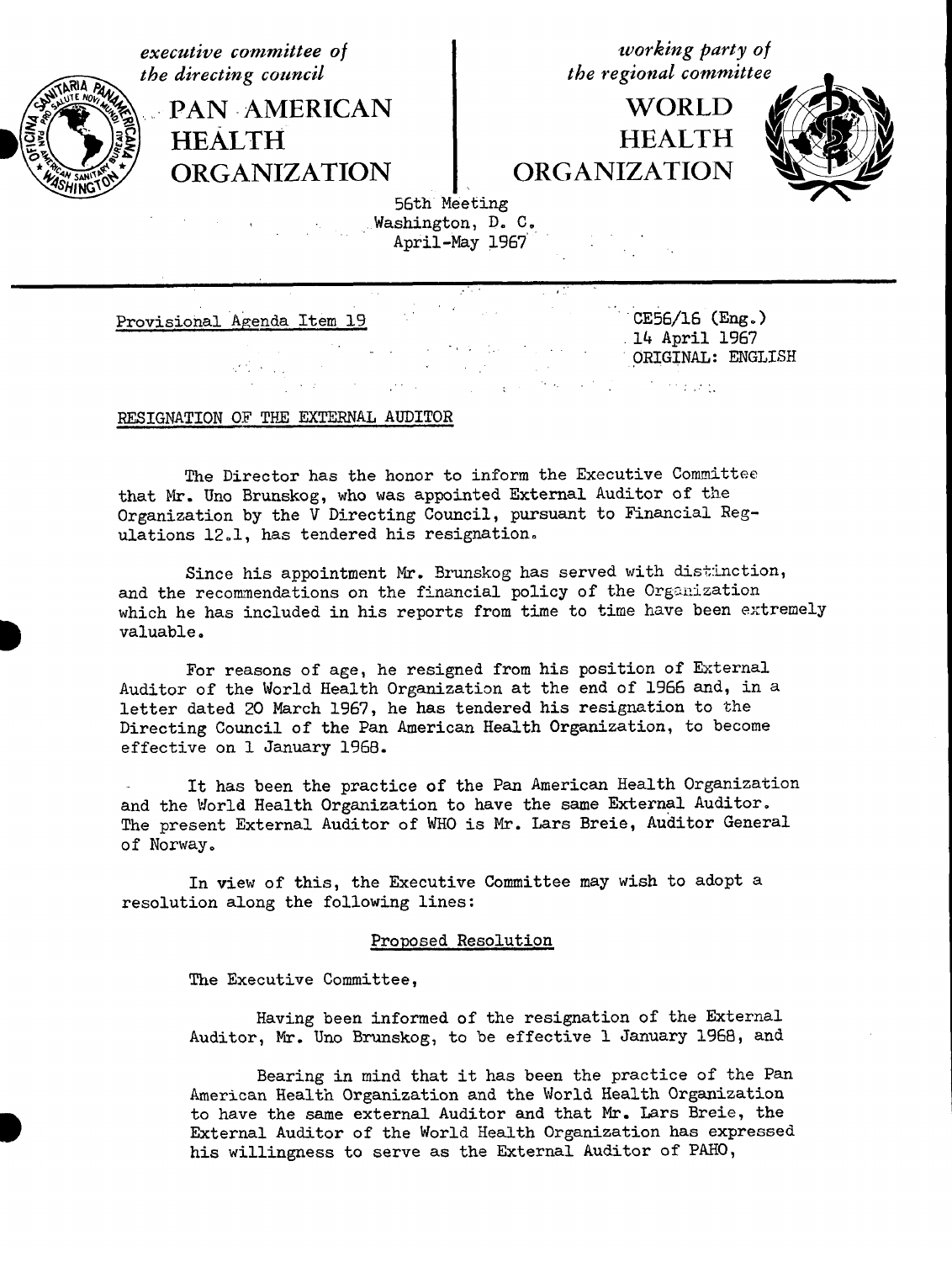*the directing council* 

**PAN AMERICAN i** WORLD HEALTH<br>
ORGANIZATION ORGANIZATION **ORGANIZATION** 

*executive committee of*<br> *the directing council*<br> *the regional committee* 



56th Meeting Washington, D. C. April-May 1967

Provisional Agenda Item 19 CE56/16 (Eng.)

.14 April 1967 ORIGINAL: ENGLISH

 $\mathcal{L}^{\text{max}}_{\text{max}}$  , where  $\mathcal{L}^{\text{max}}_{\text{max}}$ 

# RESIGNATION OF THE EXTERNAL AUDITOR

The Director has the honor to inform the Executive Committee that Mr. Uno Brunskog, who was appointed External Auditor of the Organization by the V Directing Council, pursuant to Financial Regulations 12.1, has tendered his resignation.

Since his appointment Mr. Brunskog has served with distinction, and the recommendations on the financial policy of the Organization which he has included in his reports from time to time have been extremely valuable.

For reasons of age, he resigned from his position of External Auditor of the World Health Organization at the end of 1966 and, in a letter dated 20 March 1967, he has tendered his resignation to the Directing Council of the Pan American Health Organization, to become effective on 1 January 1968.

It has been the practice of the Pan American Health Organization and the World Health Organization to have the same External Auditor. The present External Auditor of WHO is Mr. Lars Breie, Auditor General of Norway.

In view of this, the Executive Committee may wish to adopt a resolution along the following lines:

### Proposed Resolution

The Executive Committee,

Having been informed of the resignation of the External Auditor, Mr. Uno Brunskog, to be effective 1 January 1968, and

Bearing in mind that it has been the practice of the Pan American Health Organization and the World Health Organization to have the same external Auditor and that Mr. Lars Breie, the External Auditor of the World Health Organization has expressed his willingness to serve as the External Auditor of PAHO,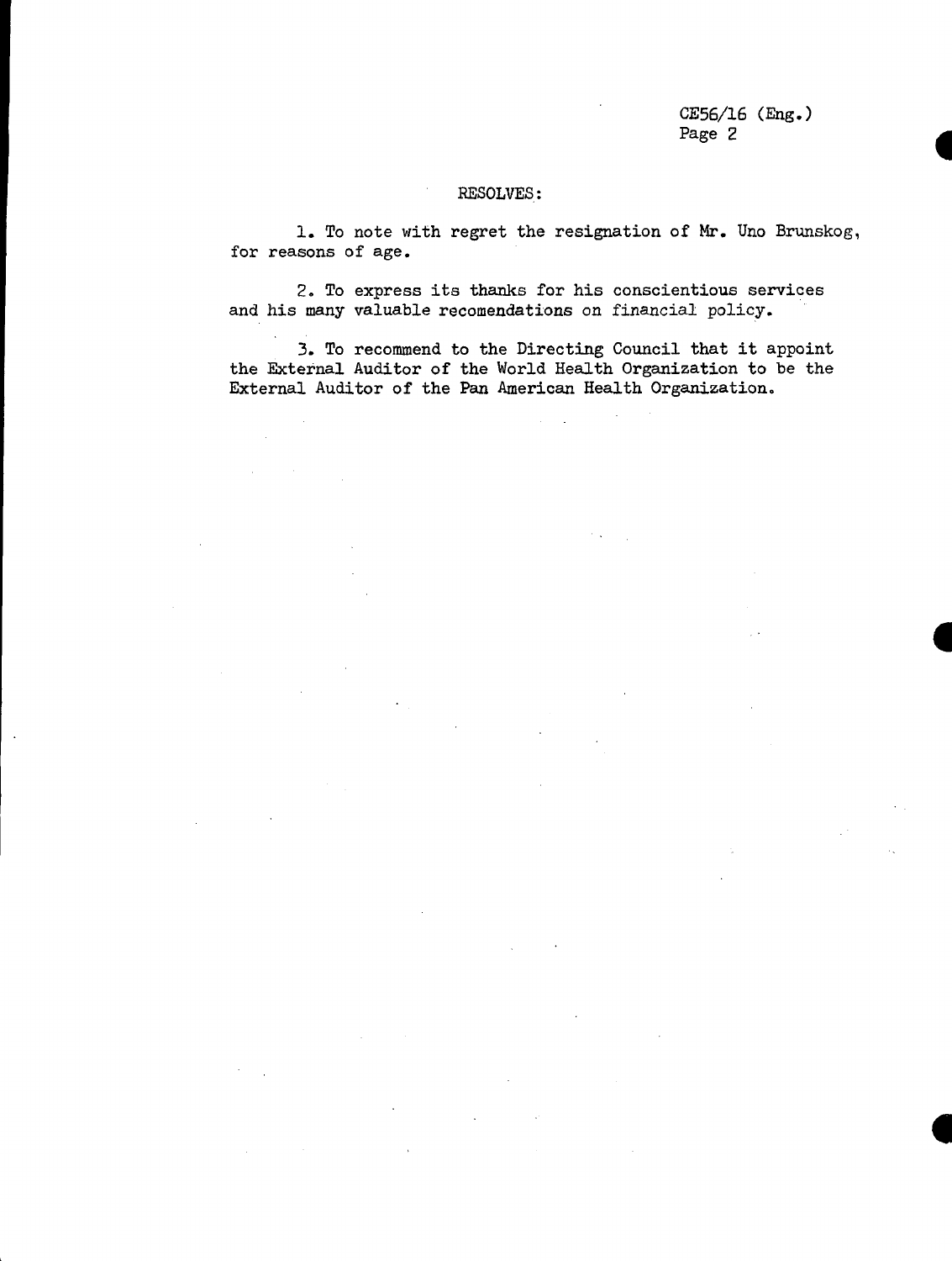CE56/16 (Eng.) Page 2

## RESOLVES:

1. To note with regret the resignation of Mr. Uno Brunskog, for reasons of age.

2. To express its thanks for his conscientious services and his many valuable recomendations on financial policy.

3. To recommend to the Directing Council that it appoint the External Auditor of the World Health Organization to be the External Auditor of the Pan American Health Organization.

 $\mathbb{R}^2$